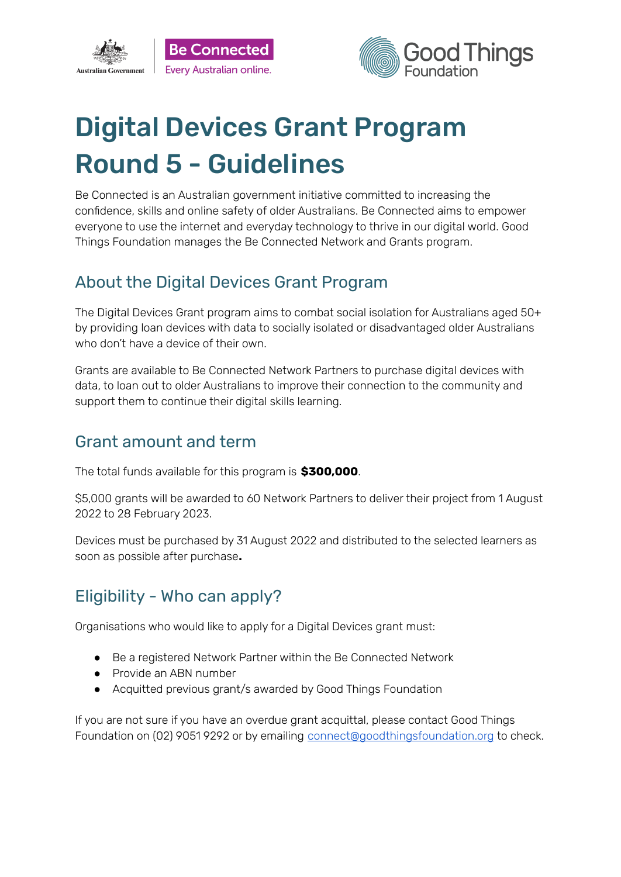



# Digital Devices Grant Program Round 5 - Guidelines

Be Connected is an Australian government initiative committed to increasing the confidence, skills and online safety of older Australians. Be Connected aims to empower everyone to use the internet and everyday technology to thrive in our digital world. Good Things Foundation manages the Be Connected Network and Grants program.

#### About the Digital Devices Grant Program

The Digital Devices Grant program aims to combat social isolation for Australians aged 50+ by providing loan devices with data to socially isolated or disadvantaged older Australians who don't have a device of their own.

Grants are available to Be Connected Network Partners to purchase digital devices with data, to loan out to older Australians to improve their connection to the community and support them to continue their digital skills learning.

#### Grant amount and term

The total funds available for this program is **\$300,000**.

\$5,000 grants will be awarded to 60 Network Partners to deliver their project from 1 August 2022 to 28 February 2023.

Devices must be purchased by 31 August 2022 and distributed to the selected learners as soon as possible after purchase**.**

# Eligibility - Who can apply?

Organisations who would like to apply for a Digital Devices grant must:

- Be a registered Network Partner within the Be Connected Network
- Provide an ABN number
- Acquitted previous grant/s awarded by Good Things Foundation

If you are not sure if you have an overdue grant acquittal, please contact Good Things Foundation on (02) 9051 9292 or by emailing [connect@goodthingsfoundation.org](mailto:connect@goodthingsfoundation.org) to check.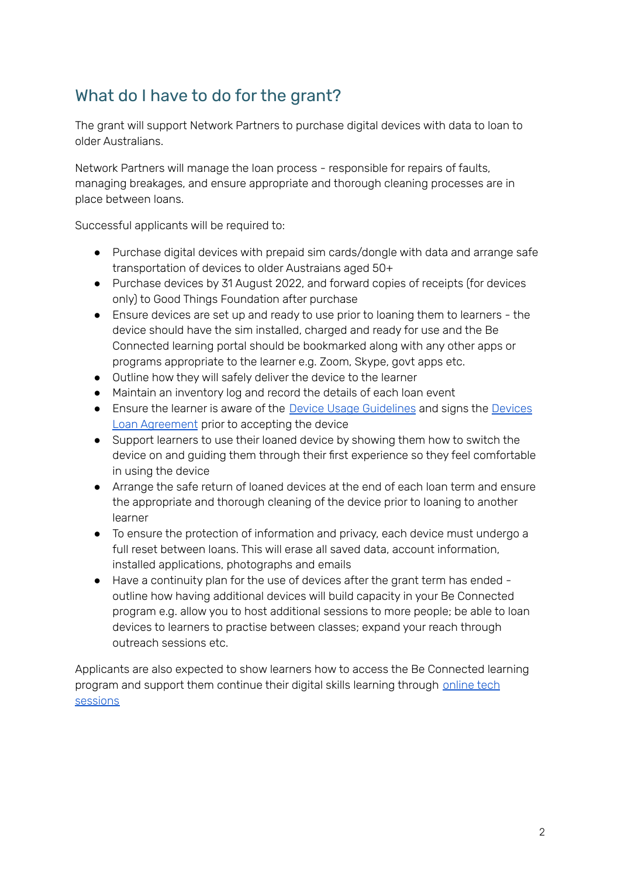## What do I have to do for the grant?

The grant will support Network Partners to purchase digital devices with data to loan to older Australians.

Network Partners will manage the loan process - responsible for repairs of faults, managing breakages, and ensure appropriate and thorough cleaning processes are in place between loans.

Successful applicants will be required to:

- Purchase digital devices with prepaid sim cards/dongle with data and arrange safe transportation of devices to older Austraians aged 50+
- Purchase devices by 31 August 2022, and forward copies of receipts (for devices only) to Good Things Foundation after purchase
- Ensure devices are set up and ready to use prior to loaning them to learners the device should have the sim installed, charged and ready for use and the Be Connected learning portal should be bookmarked along with any other apps or programs appropriate to the learner e.g. Zoom, Skype, govt apps etc.
- Outline how they will safely deliver the device to the learner
- Maintain an inventory log and record the details of each loan event
- Ensure the learner is aware of the Device Usage [Guidelines](https://www.beconnectednetwork.org.au/sites/default/files/device_usage_guidelines.pdf) and signs the [Devices](https://www.beconnectednetwork.org.au/sites/default/files/device_loan_agreement.pdf) Loan [Agreement](https://www.beconnectednetwork.org.au/sites/default/files/device_loan_agreement.pdf) prior to accepting the device
- Support learners to use their loaned device by showing them how to switch the device on and guiding them through their first experience so they feel comfortable in using the device
- Arrange the safe return of loaned devices at the end of each loan term and ensure the appropriate and thorough cleaning of the device prior to loaning to another learner
- To ensure the protection of information and privacy, each device must undergo a full reset between loans. This will erase all saved data, account information, installed applications, photographs and emails
- Have a continuity plan for the use of devices after the grant term has ended outline how having additional devices will build capacity in your Be Connected program e.g. allow you to host additional sessions to more people; be able to loan devices to learners to practise between classes; expand your reach through outreach sessions etc.

Applicants are also expected to show learners how to access the Be Connected learning program and support them continue their digital skills learning through [online](https://goodthingsfoundation-dot-yamm-track.appspot.com/Redirect?ukey=1bO5W_Fbfdgir-YRjoljjfsl_AkqcQps4HBYn-XCbtzk-1018325505&key=YAMMID-66126800&link=https%3A%2F%2Fwww.beconnectednetwork.org.au%2Fsites%2Fdefault%2Ffiles%2Fchecklist_delivering_sessions_remotely.pdf) tech [sessions](https://goodthingsfoundation-dot-yamm-track.appspot.com/Redirect?ukey=1bO5W_Fbfdgir-YRjoljjfsl_AkqcQps4HBYn-XCbtzk-1018325505&key=YAMMID-66126800&link=https%3A%2F%2Fwww.beconnectednetwork.org.au%2Fsites%2Fdefault%2Ffiles%2Fchecklist_delivering_sessions_remotely.pdf)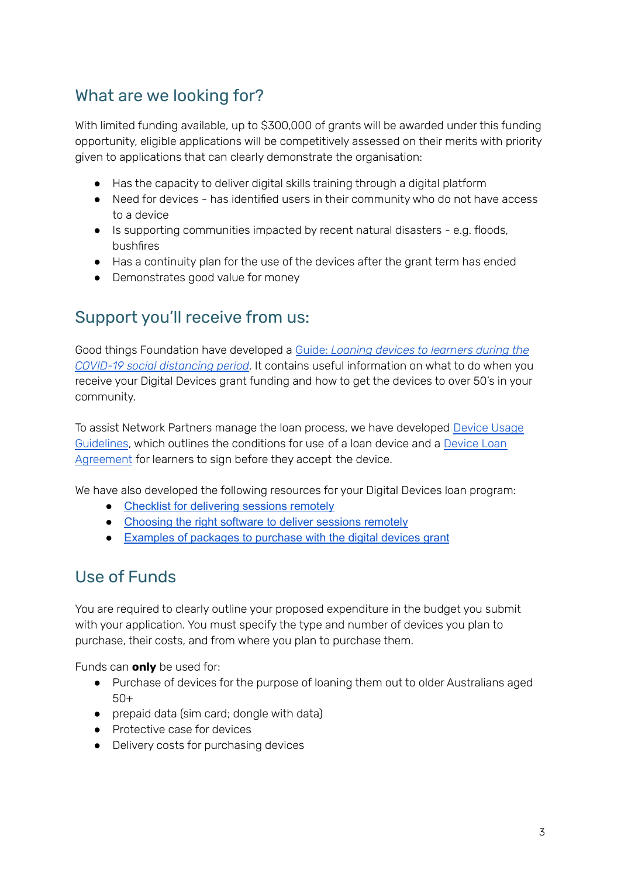### What are we looking for?

With limited funding available, up to \$300,000 of grants will be awarded under this funding opportunity, eligible applications will be competitively assessed on their merits with priority given to applications that can clearly demonstrate the organisation:

- Has the capacity to deliver digital skills training through a digital platform
- Need for devices has identified users in their community who do not have access to a device
- Is supporting communities impacted by recent natural disasters e.g. floods, bushfires
- Has a continuity plan for the use of the devices after the grant term has ended
- Demonstrates good value for money

#### Support you'll receive from us:

Good things Foundation have developed a Guide: *Loaning devices to [learners](https://www.beconnectednetwork.org.au/sites/default/files/guide_-_loaning_devices_to_learners_march_2022.pdf) during the COVID-19 social [distancing](https://www.beconnectednetwork.org.au/sites/default/files/guide_-_loaning_devices_to_learners_march_2022.pdf) period*. It contains useful information on what to do when you receive your Digital Devices grant funding and how to get the devices to over 50's in your community.

To assist Network Partners manage the loan process, we have developed [Device](https://www.beconnectednetwork.org.au/sites/default/files/device_usage_guidelines.pdf) Usage [Guidelines](https://www.beconnectednetwork.org.au/sites/default/files/device_usage_guidelines.pdf), which outlines the conditions for use of a loan device and a [Device](https://www.beconnectednetwork.org.au/sites/default/files/device_loan_agreement.pdf) Loan [Agreement](https://www.beconnectednetwork.org.au/sites/default/files/device_loan_agreement.pdf) for learners to sign before they accept the device.

We have also developed the following resources for your Digital Devices loan program:

- Checklist for [delivering](https://goodthingsfoundation-dot-yamm-track.appspot.com/Redirect?ukey=1bO5W_Fbfdgir-YRjoljjfsl_AkqcQps4HBYn-XCbtzk-1018325505&key=YAMMID-66126800&link=https%3A%2F%2Fwww.beconnectednetwork.org.au%2Fsites%2Fdefault%2Ffiles%2Fchecklist_delivering_sessions_remotely.pdf) sessions remotely
- [Choosing](https://goodthingsfoundation-dot-yamm-track.appspot.com/Redirect?ukey=1bO5W_Fbfdgir-YRjoljjfsl_AkqcQps4HBYn-XCbtzk-1018325505&key=YAMMID-66126800&link=https%3A%2F%2Fwww.beconnectednetwork.org.au%2Fsites%2Fdefault%2Ffiles%2Fwebinar_software_tipsheet.pdf) the right software to deliver sessions remotely
- [Examples](https://goodthingsfoundation-dot-yamm-track.appspot.com/Redirect?ukey=1bO5W_Fbfdgir-YRjoljjfsl_AkqcQps4HBYn-XCbtzk-1018325505&key=YAMMID-66126800&link=https%3A%2F%2Fwww.beconnectednetwork.org.au%2Fsites%2Fdefault%2Ffiles%2Fexamples_of_packages_to_purchase_with_the_digital_devices_grant.pdf) of packages to purchase with the digital devices grant

#### Use of Funds

You are required to clearly outline your proposed expenditure in the budget you submit with your application. You must specify the type and number of devices you plan to purchase, their costs, and from where you plan to purchase them.

Funds can **only** be used for:

- Purchase of devices for the purpose of loaning them out to older Australians aged 50+
- prepaid data (sim card; dongle with data)
- Protective case for devices
- Delivery costs for purchasing devices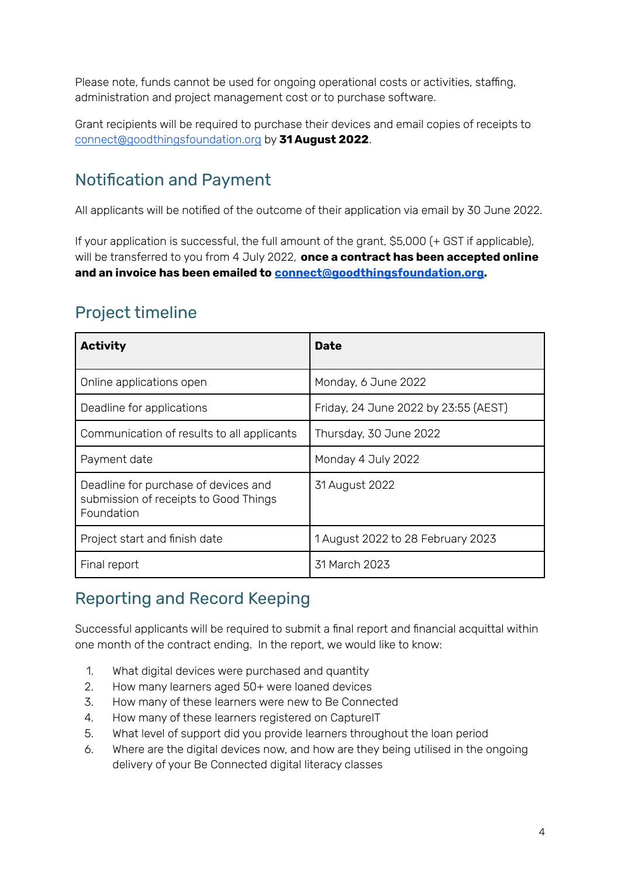Please note, funds cannot be used for ongoing operational costs or activities, staffing, administration and project management cost or to purchase software.

Grant recipients will be required to purchase their devices and email copies of receipts to [connect@goodthingsfoundation.org](mailto:connect@goodthingsfoundation.org) by **31 August 2022**.

## Notification and Payment

All applicants will be notified of the outcome of their application via email by 30 June 2022.

If your application is successful, the full amount of the grant, \$5,000 (+ GST if applicable), will be transferred to you from 4 July 2022, **once a contract has been accepted online and an invoice has been emailed to [connect@goodthingsfoundation.org.](mailto:connect@goodthingsfoundation.org)**

## Project timeline

| <b>Activity</b>                                                                             | <b>Date</b>                          |
|---------------------------------------------------------------------------------------------|--------------------------------------|
| Online applications open                                                                    | Monday, 6 June 2022                  |
| Deadline for applications                                                                   | Friday, 24 June 2022 by 23:55 (AEST) |
| Communication of results to all applicants                                                  | Thursday, 30 June 2022               |
| Payment date                                                                                | Monday 4 July 2022                   |
| Deadline for purchase of devices and<br>submission of receipts to Good Things<br>Foundation | 31 August 2022                       |
| Project start and finish date                                                               | 1 August 2022 to 28 February 2023    |
| Final report                                                                                | 31 March 2023                        |

## Reporting and Record Keeping

Successful applicants will be required to submit a final report and financial acquittal within one month of the contract ending. In the report, we would like to know:

- 1. What digital devices were purchased and quantity
- 2. How many learners aged 50+ were loaned devices
- 3. How many of these learners were new to Be Connected
- 4. How many of these learners registered on CaptureIT
- 5. What level of support did you provide learners throughout the loan period
- 6. Where are the digital devices now, and how are they being utilised in the ongoing delivery of your Be Connected digital literacy classes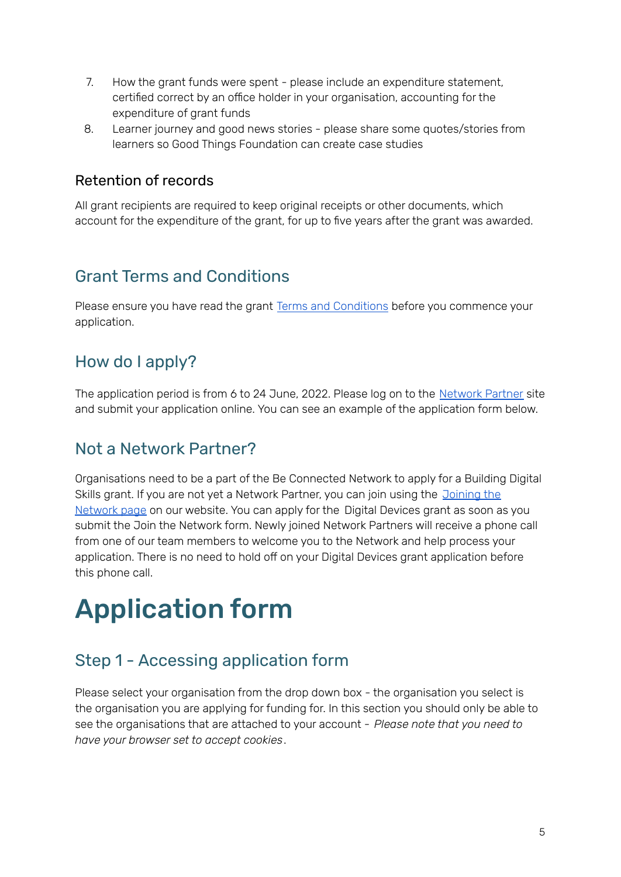- 7. How the grant funds were spent please include an expenditure statement, certified correct by an office holder in your organisation, accounting for the expenditure of grant funds
- 8. Learner journey and good news stories please share some quotes/stories from learners so Good Things Foundation can create case studies

#### Retention of records

All grant recipients are required to keep original receipts or other documents, which account for the expenditure of the grant, for up to five years after the grant was awarded.

#### Grant Terms and Conditions

Please ensure you have read the grant Terms and [Conditions](https://www.beconnectednetwork.org.au/sites/default/files/2022-06-02_digital_devices_grant_round_5_-_terms_and_conditions.pdf) before you commence your application.

## How do I apply?

The application period is from 6 to 24 June, 2022. Please log on to the [Network](https://www.beconnectednetwork.org.au/grant-program) Partner site and submit your application online. You can see an example of the application form below.

#### Not a Network Partner?

Organisations need to be a part of the Be Connected Network to apply for a Building Digital Skills grant. If you are not yet a Network Partner, you can join using the [Joining](https://www.beconnectednetwork.org.au/join-the-network-step-1) the [Network](https://www.beconnectednetwork.org.au/join-the-network-step-1) page on our website. You can apply for the Digital Devices grant as soon as you submit the Join the Network form. Newly joined Network Partners will receive a phone call from one of our team members to welcome you to the Network and help process your application. There is no need to hold off on your Digital Devices grant application before this phone call.

# Application form

## Step 1 - Accessing application form

Please select your organisation from the drop down box - the organisation you select is the organisation you are applying for funding for. In this section you should only be able to see the organisations that are attached to your account - *Please note that you need to have your browser set to accept cookies*.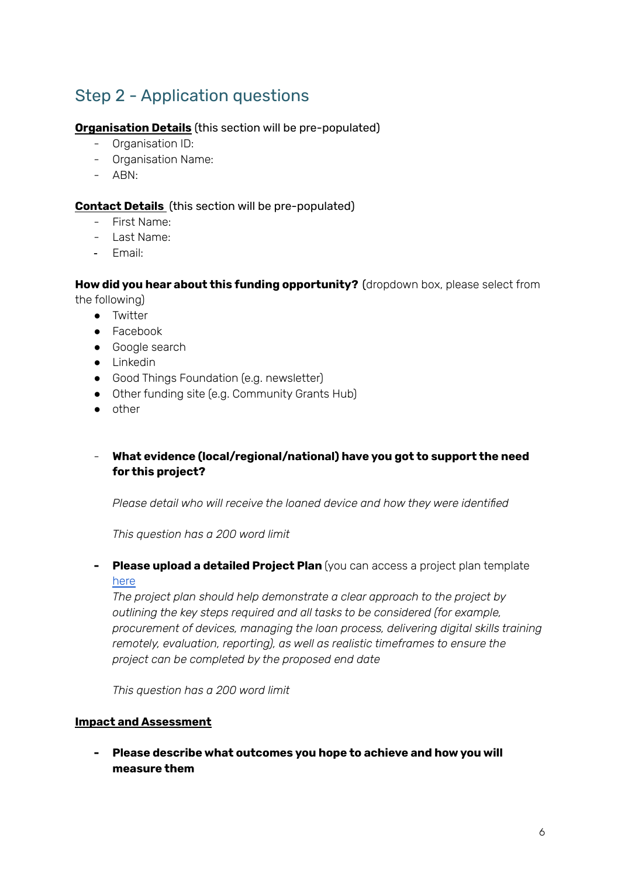# Step 2 - Application questions

#### **Organisation Details** (this section will be pre-populated)

- Organisation ID:
- Organisation Name:
- ABN:

#### **Contact Details** (this section will be pre-populated)

- First Name:
- Last Name:
- Email:

**How did you hear about this funding opportunity?** (dropdown box, please select from the following)

- Twitter
- Facebook
- Google search
- Linkedin
- Good Things Foundation (e.g. newsletter)
- Other funding site (e.g. Community Grants Hub)
- other

#### - **What evidence (local/regional/national) have you got to support the need for this project?**

*Please detail who will receive the loaned device and how they were identified*

*This question has a 200 word limit*

#### **- Please upload a detailed Project Plan** (you can access a project plan template [here](https://www.beconnectednetwork.org.au/sites/default/files/2021-07-22_ddg_project_plan_template.docx)

*The project plan should help demonstrate a clear approach to the project by outlining the key steps required and all tasks to be considered (for example, procurement of devices, managing the loan process, delivering digital skills training remotely, evaluation, reporting), as well as realistic timeframes to ensure the project can be completed by the proposed end date*

*This question has a 200 word limit*

#### **Impact and Assessment**

**- Please describe what outcomes you hope to achieve and how you will measure them**